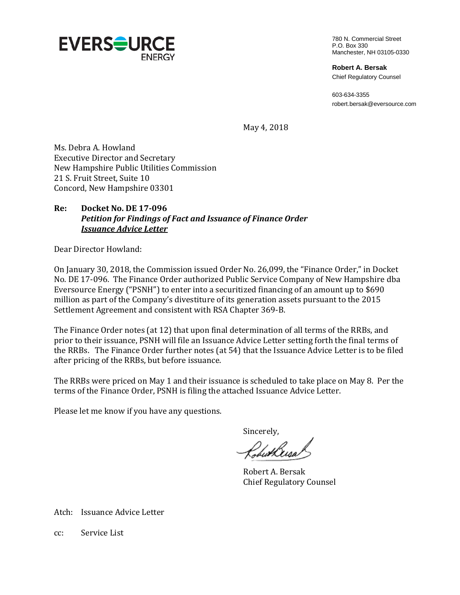

780 N. Commercial Street P.O. Box 330 Manchester, NH 03105-0330

**Robert A. Bersak** Chief Regulatory Counsel

603-634-3355 robert.bersak@eversource.com

May 4, 2018

Ms. Debra A. Howland Executive Director and Secretary New Hampshire Public Utilities Commission 21 S. Fruit Street, Suite 10 Concord, New Hampshire 03301

## **Re: Docket No. DE 17-096** *Petition for Findings of Fact and Issuance of Finance Order Issuance Advice Letter*

Dear Director Howland:

On January 30, 2018, the Commission issued Order No. 26,099, the "Finance Order," in Docket No. DE 17-096. The Finance Order authorized Public Service Company of New Hampshire dba Eversource Energy ("PSNH") to enter into a securitized financing of an amount up to \$690 million as part of the Company's divestiture of its generation assets pursuant to the 2015 Settlement Agreement and consistent with RSA Chapter 369-B.

The Finance Order notes (at 12) that upon final determination of all terms of the RRBs, and prior to their issuance, PSNH will file an Issuance Advice Letter setting forth the final terms of the RRBs. The Finance Order further notes (at 54) that the Issuance Advice Letter is to be filed after pricing of the RRBs, but before issuance.

The RRBs were priced on May 1 and their issuance is scheduled to take place on May 8. Per the terms of the Finance Order, PSNH is filing the attached Issuance Advice Letter.

Please let me know if you have any questions.

Sincerely,

ChuHusa/

Robert A. Bersak Chief Regulatory Counsel

Atch: Issuance Advice Letter

cc: Service List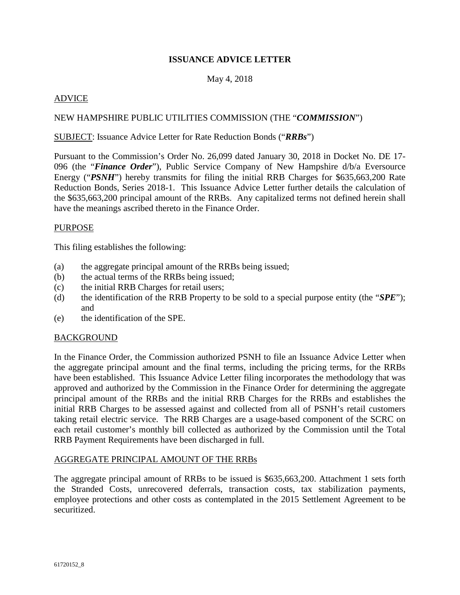## **ISSUANCE ADVICE LETTER**

## May 4, 2018

## ADVICE

## NEW HAMPSHIRE PUBLIC UTILITIES COMMISSION (THE "*COMMISSION*")

### SUBJECT: Issuance Advice Letter for Rate Reduction Bonds ("*RRBs*")

Pursuant to the Commission's Order No. 26,099 dated January 30, 2018 in Docket No. DE 17- 096 (the "*Finance Order*"), Public Service Company of New Hampshire d/b/a Eversource Energy ("PSNH") hereby transmits for filing the initial RRB Charges for \$635,663,200 Rate Reduction Bonds, Series 2018-1. This Issuance Advice Letter further details the calculation of the \$635,663,200 principal amount of the RRBs. Any capitalized terms not defined herein shall have the meanings ascribed thereto in the Finance Order.

### PURPOSE

This filing establishes the following:

- (a) the aggregate principal amount of the RRBs being issued;
- (b) the actual terms of the RRBs being issued;
- (c) the initial RRB Charges for retail users;
- (d) the identification of the RRB Property to be sold to a special purpose entity (the "*SPE*"); and
- (e) the identification of the SPE.

## BACKGROUND

In the Finance Order, the Commission authorized PSNH to file an Issuance Advice Letter when the aggregate principal amount and the final terms, including the pricing terms, for the RRBs have been established. This Issuance Advice Letter filing incorporates the methodology that was approved and authorized by the Commission in the Finance Order for determining the aggregate principal amount of the RRBs and the initial RRB Charges for the RRBs and establishes the initial RRB Charges to be assessed against and collected from all of PSNH's retail customers taking retail electric service. The RRB Charges are a usage-based component of the SCRC on each retail customer's monthly bill collected as authorized by the Commission until the Total RRB Payment Requirements have been discharged in full.

### AGGREGATE PRINCIPAL AMOUNT OF THE RRBs

The aggregate principal amount of RRBs to be issued is \$635,663,200. Attachment 1 sets forth the Stranded Costs, unrecovered deferrals, transaction costs, tax stabilization payments, employee protections and other costs as contemplated in the 2015 Settlement Agreement to be securitized.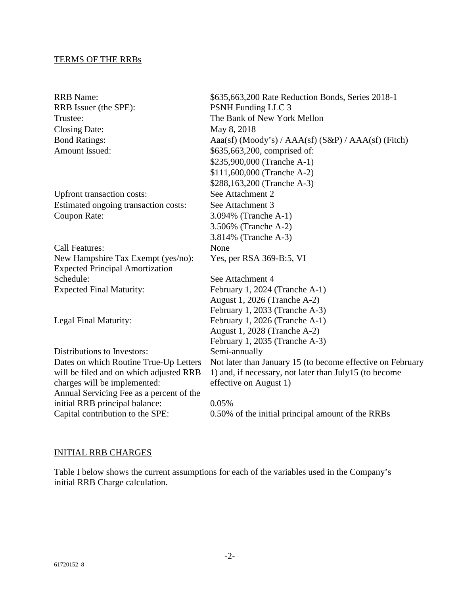### TERMS OF THE RRBs

RRB Name: \$635,663,200 Rate Reduction Bonds, Series 2018-1 RRB Issuer (the SPE): PSNH Funding LLC 3 Trustee: The Bank of New York Mellon Closing Date: May 8, 2018 Bond Ratings: Aaa(sf) (Moody's) / AAA(sf) (S&P) / AAA(sf) (Fitch) Amount Issued: \$635,663,200, comprised of: \$235,900,000 (Tranche A-1) \$111,600,000 (Tranche A-2) \$288,163,200 (Tranche A-3) Upfront transaction costs: See Attachment 2 Estimated ongoing transaction costs: See Attachment 3 Coupon Rate: 3.094% (Tranche A-1) 3.506% (Tranche A-2) 3.814% (Tranche A-3) Call Features: None New Hampshire Tax Exempt (yes/no): Yes, per RSA 369-B:5, VI Expected Principal Amortization Schedule: See Attachment 4 Expected Final Maturity: February 1, 2024 (Tranche A-1) August 1, 2026 (Tranche A-2) February 1, 2033 (Tranche A-3) Legal Final Maturity: February 1, 2026 (Tranche A-1) August 1, 2028 (Tranche A-2) February 1, 2035 (Tranche A-3) Distributions to Investors: Semi-annually Dates on which Routine True-Up Letters will be filed and on which adjusted RRB charges will be implemented: Not later than January 15 (to become effective on February 1) and, if necessary, not later than July15 (to become effective on August 1) Annual Servicing Fee as a percent of the initial RRB principal balance: 0.05% Capital contribution to the SPE: 0.50% of the initial principal amount of the RRBs

## INITIAL RRB CHARGES

Table I below shows the current assumptions for each of the variables used in the Company's initial RRB Charge calculation.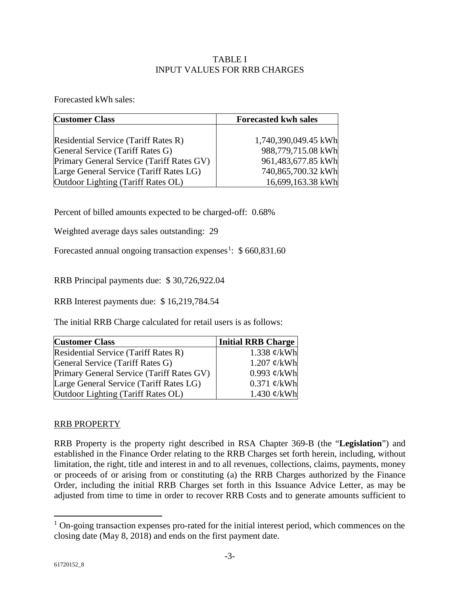## TABLE I INPUT VALUES FOR RRB CHARGES

Forecasted kWh sales:

| <b>Customer Class</b>                       | <b>Forecasted kwh sales</b> |  |  |
|---------------------------------------------|-----------------------------|--|--|
|                                             |                             |  |  |
| <b>Residential Service (Tariff Rates R)</b> | 1,740,390,049.45 kWh        |  |  |
| General Service (Tariff Rates G)            | 988,779,715.08 kWh          |  |  |
| Primary General Service (Tariff Rates GV)   | 961,483,677.85 kWh          |  |  |
| Large General Service (Tariff Rates LG)     | 740,865,700.32 kWh          |  |  |
| Outdoor Lighting (Tariff Rates OL)          | 16,699,163.38 kWh           |  |  |

Percent of billed amounts expected to be charged-off: 0.68%

Weighted average days sales outstanding: 29

Forecasted annual ongoing transaction expenses<sup>[1](#page-3-0)</sup>: \$660,831.60

RRB Principal payments due: \$ 30,726,922.04

RRB Interest payments due: \$ 16,219,784.54

The initial RRB Charge calculated for retail users is as follows:

| <b>Customer Class</b>                       | Initial RRB Charge      |
|---------------------------------------------|-------------------------|
| <b>Residential Service (Tariff Rates R)</b> | 1.338 $\ell$ /kWh       |
| General Service (Tariff Rates G)            | 1.207 $\mathcal{C}/kWh$ |
| Primary General Service (Tariff Rates GV)   | 0.993 $\mathcal{C}/kWh$ |
| Large General Service (Tariff Rates LG)     | 0.371 $\mathcal{C}/kWh$ |
| Outdoor Lighting (Tariff Rates OL)          | 1.430 $\mathcal{C}/kWh$ |

## RRB PROPERTY

RRB Property is the property right described in RSA Chapter 369-B (the "**Legislation**") and established in the Finance Order relating to the RRB Charges set forth herein, including, without limitation, the right, title and interest in and to all revenues, collections, claims, payments, money or proceeds of or arising from or constituting (a) the RRB Charges authorized by the Finance Order, including the initial RRB Charges set forth in this Issuance Advice Letter, as may be adjusted from time to time in order to recover RRB Costs and to generate amounts sufficient to

<span id="page-3-0"></span> $1$  On-going transaction expenses pro-rated for the initial interest period, which commences on the closing date (May 8, 2018) and ends on the first payment date.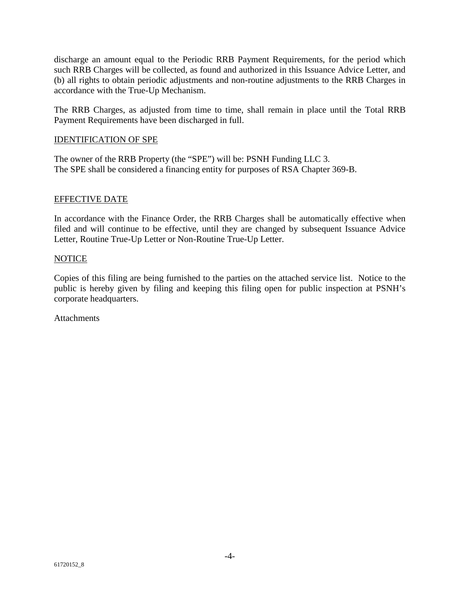discharge an amount equal to the Periodic RRB Payment Requirements, for the period which such RRB Charges will be collected, as found and authorized in this Issuance Advice Letter, and (b) all rights to obtain periodic adjustments and non-routine adjustments to the RRB Charges in accordance with the True-Up Mechanism.

The RRB Charges, as adjusted from time to time, shall remain in place until the Total RRB Payment Requirements have been discharged in full.

## IDENTIFICATION OF SPE

The owner of the RRB Property (the "SPE") will be: PSNH Funding LLC 3. The SPE shall be considered a financing entity for purposes of RSA Chapter 369-B.

### EFFECTIVE DATE

In accordance with the Finance Order, the RRB Charges shall be automatically effective when filed and will continue to be effective, until they are changed by subsequent Issuance Advice Letter, Routine True-Up Letter or Non-Routine True-Up Letter.

### NOTICE

Copies of this filing are being furnished to the parties on the attached service list. Notice to the public is hereby given by filing and keeping this filing open for public inspection at PSNH's corporate headquarters.

**Attachments**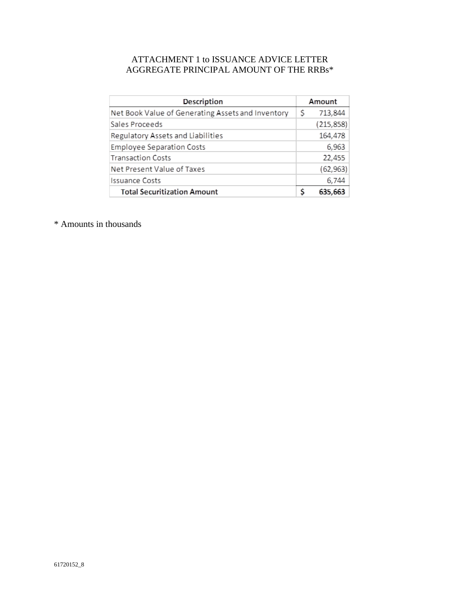# ATTACHMENT 1 to ISSUANCE ADVICE LETTER AGGREGATE PRINCIPAL AMOUNT OF THE  $\mathtt{RRBs^*}$

| Description                                       |    | Amount     |  |
|---------------------------------------------------|----|------------|--|
| Net Book Value of Generating Assets and Inventory | \$ | 713,844    |  |
| Sales Proceeds                                    |    | (215, 858) |  |
| Regulatory Assets and Liabilities                 |    | 164,478    |  |
| <b>Employee Separation Costs</b>                  |    | 6,963      |  |
| <b>Transaction Costs</b>                          |    | 22,455     |  |
| Net Present Value of Taxes                        |    | (62, 963)  |  |
| Issuance Costs                                    |    | 6,744      |  |
| <b>Total Securitization Amount</b>                | ς  | 635,663    |  |

\* Amounts in thousands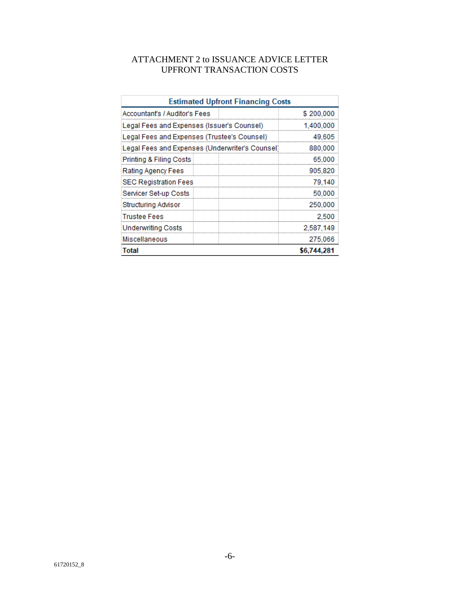# ATTACHMENT 2 to ISSUANCE ADVICE LETTER UPFRONT TRANSACTION COSTS

| <b>Estimated Upfront Financing Costs</b>        |             |  |
|-------------------------------------------------|-------------|--|
| Accountant's / Auditor's Fees                   | \$200,000   |  |
| Legal Fees and Expenses (Issuer's Counsel)      | 1,400,000   |  |
| Legal Fees and Expenses (Trustee's Counsel)     | 49,605      |  |
| Legal Fees and Expenses (Underwriter's Counsel) | 880,000     |  |
| Printing & Filing Costs                         | 65,000      |  |
| Rating Agency Fees                              | 905,820     |  |
| <b>SEC Registration Fees</b>                    | 79,140      |  |
| Servicer Set-up Costs                           | 50,000      |  |
| Structuring Advisor                             | 250,000     |  |
| Trustee Fees                                    | 2,500       |  |
| <b>Underwriting Costs</b>                       | 2,587,149   |  |
| Miscellaneous                                   | 275,066     |  |
| Total                                           | \$6,744,281 |  |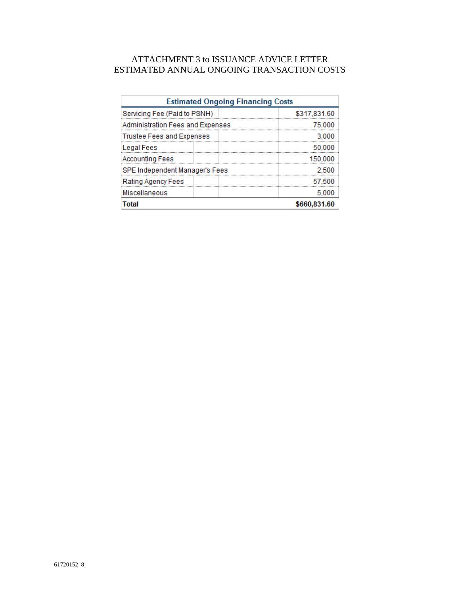# ATTACHMENT 3 to ISSUANCE ADVICE LETTER ESTIMATED ANNUAL ONGOING TRANSACTION COSTS

| <b>Estimated Ongoing Financing Costs</b> |              |  |  |
|------------------------------------------|--------------|--|--|
| Servicing Fee (Paid to PSNH)             | \$317,831.60 |  |  |
| Administration Fees and Expenses         | 75.000       |  |  |
| Trustee Fees and Expenses                | 3.000        |  |  |
| <b>Legal Fees</b>                        | 50,000       |  |  |
| <b>Accounting Fees</b>                   | 150,000      |  |  |
| SPE Independent Manager's Fees           | 2,500        |  |  |
| Rating Agency Fees                       | 57.500       |  |  |
| <b>Miscellaneous</b>                     | 5.000        |  |  |
| Total                                    | \$660.831.60 |  |  |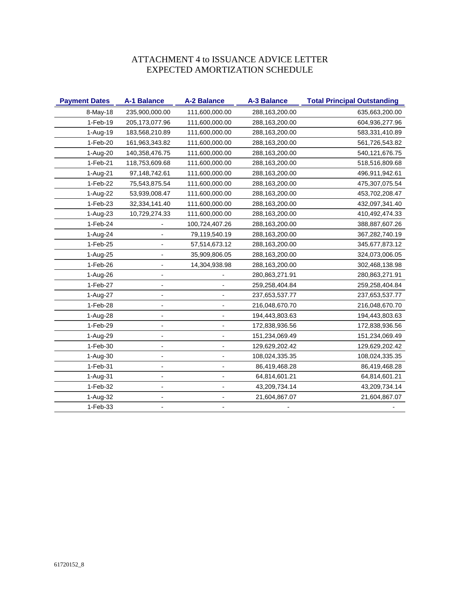# ATTACHMENT 4 to ISSUANCE ADVICE LETTER EXPECTED AMORTIZATION SCHEDULE

| <b>Payment Dates</b> | <b>A-1 Balance</b> | <b>A-2 Balance</b> | <b>A-3 Balance</b> | <b>Total Principal Outstanding</b> |
|----------------------|--------------------|--------------------|--------------------|------------------------------------|
| 8-May-18             | 235,900,000.00     | 111,600,000.00     | 288,163,200.00     | 635,663,200.00                     |
| $1-Feb-19$           | 205, 173, 077. 96  | 111,600,000.00     | 288,163,200.00     | 604,936,277.96                     |
| 1-Aug-19             | 183,568,210.89     | 111,600,000.00     | 288,163,200.00     | 583,331,410.89                     |
| $1-Feb-20$           | 161,963,343.82     | 111,600,000.00     | 288,163,200.00     | 561,726,543.82                     |
| 1-Aug-20             | 140,358,476.75     | 111,600,000.00     | 288,163,200.00     | 540,121,676.75                     |
| 1-Feb-21             | 118,753,609.68     | 111,600,000.00     | 288,163,200.00     | 518,516,809.68                     |
| 1-Aug-21             | 97,148,742.61      | 111,600,000.00     | 288,163,200.00     | 496,911,942.61                     |
| 1-Feb-22             | 75,543,875.54      | 111,600,000.00     | 288,163,200.00     | 475,307,075.54                     |
| 1-Aug-22             | 53,939,008.47      | 111,600,000.00     | 288,163,200.00     | 453,702,208.47                     |
| 1-Feb-23             | 32,334,141.40      | 111,600,000.00     | 288,163,200.00     | 432,097,341.40                     |
| 1-Aug-23             | 10,729,274.33      | 111,600,000.00     | 288,163,200.00     | 410,492,474.33                     |
| 1-Feb-24             |                    | 100,724,407.26     | 288,163,200.00     | 388,887,607.26                     |
| 1-Aug-24             |                    | 79,119,540.19      | 288,163,200.00     | 367,282,740.19                     |
| 1-Feb-25             |                    | 57,514,673.12      | 288,163,200.00     | 345,677,873.12                     |
| 1-Aug-25             |                    | 35,909,806.05      | 288,163,200.00     | 324,073,006.05                     |
| 1-Feb-26             |                    | 14,304,938.98      | 288,163,200.00     | 302,468,138.98                     |
| 1-Aug-26             |                    |                    | 280,863,271.91     | 280,863,271.91                     |
| 1-Feb-27             |                    |                    | 259,258,404.84     | 259,258,404.84                     |
| 1-Aug-27             |                    |                    | 237,653,537.77     | 237,653,537.77                     |
| 1-Feb-28             |                    |                    | 216,048,670.70     | 216,048,670.70                     |
| 1-Aug-28             |                    |                    | 194,443,803.63     | 194,443,803.63                     |
| 1-Feb-29             |                    |                    | 172,838,936.56     | 172,838,936.56                     |
| 1-Aug-29             |                    |                    | 151,234,069.49     | 151,234,069.49                     |
| 1-Feb-30             |                    |                    | 129,629,202.42     | 129,629,202.42                     |
| 1-Aug-30             |                    |                    | 108,024,335.35     | 108,024,335.35                     |
| 1-Feb-31             |                    |                    | 86,419,468.28      | 86,419,468.28                      |
| 1-Aug-31             |                    |                    | 64,814,601.21      | 64,814,601.21                      |
| 1-Feb-32             |                    |                    | 43,209,734.14      | 43,209,734.14                      |
| 1-Aug-32             |                    |                    | 21,604,867.07      | 21,604,867.07                      |
| 1-Feb-33             |                    |                    |                    |                                    |